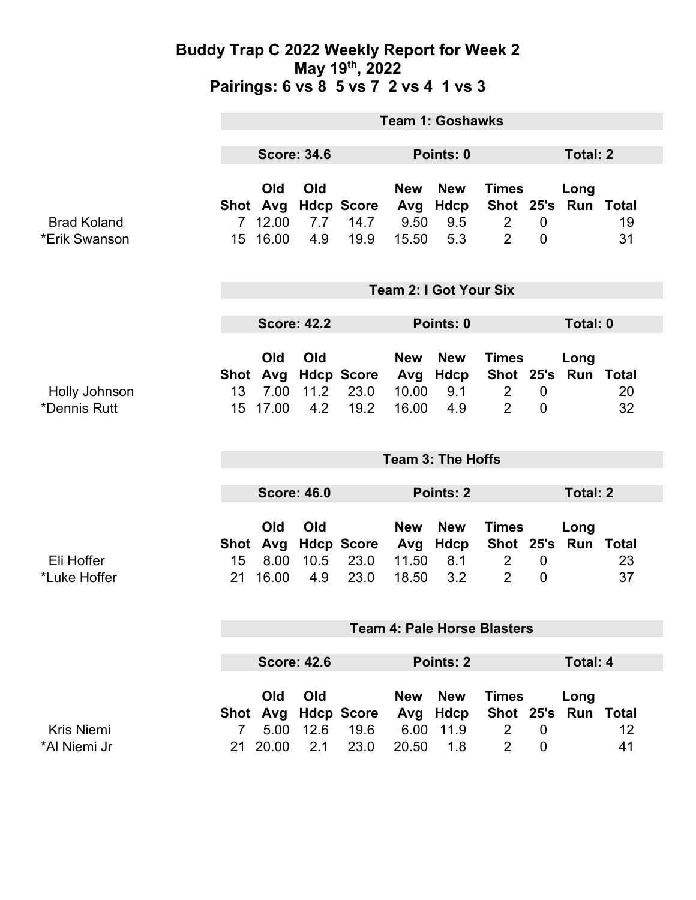### **Buddy Trap C 2022 Weekly Report for Week 2 May 19th, 2022 Pairings: 6 vs 8 5 vs 7 2 vs 4 1 vs 3**

|                                     | <b>Team 1: Goshawks</b>            |                                      |                    |                                   |                                     |                                   |                                                                         |                               |                   |          |
|-------------------------------------|------------------------------------|--------------------------------------|--------------------|-----------------------------------|-------------------------------------|-----------------------------------|-------------------------------------------------------------------------|-------------------------------|-------------------|----------|
|                                     | <b>Score: 34.6</b>                 |                                      |                    | Points: 0                         |                                     |                                   |                                                                         | <b>Total: 2</b>               |                   |          |
| <b>Brad Koland</b><br>*Erik Swanson | 7 <sup>7</sup>                     | Old<br>Shot Avg<br>12.00<br>15 16.00 | Old<br>7.7<br>4.9  | <b>Hdcp Score</b><br>14.7<br>19.9 | <b>New</b><br>Avg<br>9.50<br>15.50  | <b>New</b><br>Hdcp<br>9.5<br>5.3  | <b>Times</b><br>Shot 25's Run Total<br>$\overline{2}$<br>$\overline{2}$ | $\mathbf 0$<br>$\overline{0}$ | Long              | 19<br>31 |
|                                     | <b>Team 2: I Got Your Six</b>      |                                      |                    |                                   |                                     |                                   |                                                                         |                               |                   |          |
|                                     | <b>Score: 42.2</b>                 |                                      |                    | Points: 0                         |                                     |                                   |                                                                         | Total: 0                      |                   |          |
| Holly Johnson<br>*Dennis Rutt       | 13<br>15                           | Old<br>Shot Avg<br>7.00<br>17.00     | Old<br>11.2<br>4.2 | <b>Hdcp Score</b><br>23.0<br>19.2 | <b>New</b><br>Avg<br>10.00<br>16.00 | <b>New</b><br>Hdcp<br>9.1<br>4.9  | <b>Times</b><br>Shot 25's<br>$\overline{2}$<br>$\overline{2}$           | $\mathbf 0$<br>$\mathbf 0$    | Long<br>Run Total | 20<br>32 |
|                                     | <b>Team 3: The Hoffs</b>           |                                      |                    |                                   |                                     |                                   |                                                                         |                               |                   |          |
|                                     | <b>Score: 46.0</b>                 |                                      |                    | Points: 2                         |                                     |                                   | <b>Total: 2</b>                                                         |                               |                   |          |
| Eli Hoffer<br>*Luke Hoffer          | Shot<br>15<br>21                   | Old<br>Avg<br>8.00<br>16.00          | Old<br>10.5<br>4.9 | <b>Hdcp Score</b><br>23.0<br>23.0 | <b>New</b><br>Avg<br>11.50<br>18.50 | <b>New</b><br>Hdcp<br>8.1<br>3.2  | <b>Times</b><br>Shot 25's Run Total<br>$\overline{2}$<br>$\overline{2}$ | $\mathbf 0$<br>$\overline{0}$ | Long              | 23<br>37 |
|                                     | <b>Team 4: Pale Horse Blasters</b> |                                      |                    |                                   |                                     |                                   |                                                                         |                               |                   |          |
|                                     | <b>Score: 42.6</b>                 |                                      |                    | Points: 2                         |                                     |                                   |                                                                         | <b>Total: 4</b>               |                   |          |
| <b>Kris Niemi</b><br>*Al Niemi Jr   | Shot<br>$7^{\circ}$                | Old<br>Avg<br>5.00<br>21 20.00       | Old<br>12.6<br>2.1 | <b>Hdcp Score</b><br>19.6<br>23.0 | <b>New</b><br>Avg<br>6.00<br>20.50  | <b>New</b><br>Hdcp<br>11.9<br>1.8 | <b>Times</b><br>Shot 25's<br>$\overline{2}$<br>$\overline{2}$           | $\mathbf 0$<br>$\overline{0}$ | Long<br>Run Total | 12<br>41 |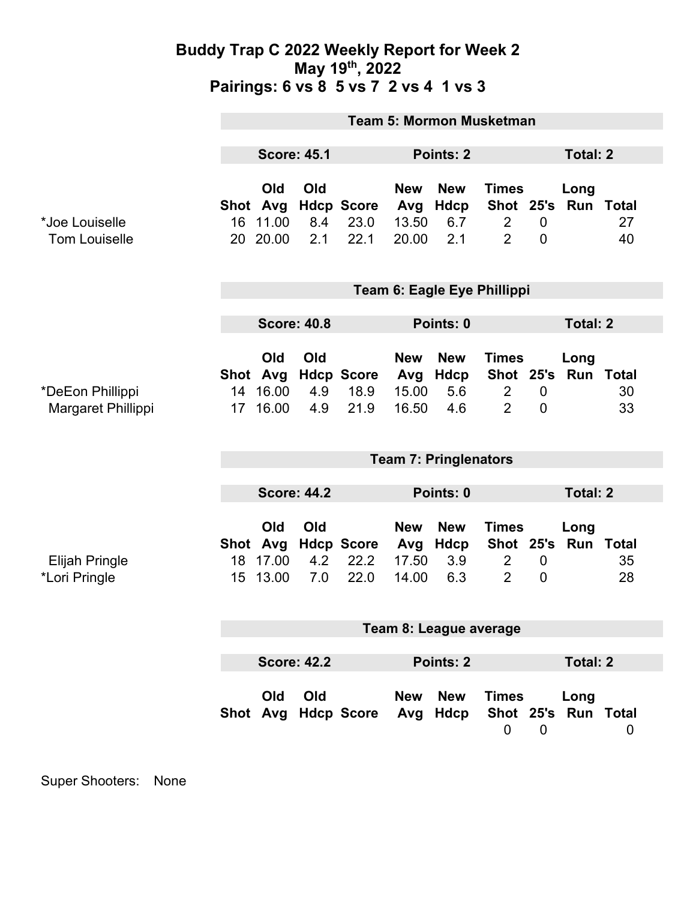### **Buddy Trap C 2022 Weekly Report for Week 2 May 19th, 2022 Pairings: 6 vs 8 5 vs 7 2 vs 4 1 vs 3**

|                                        | <b>Team 5: Mormon Musketman</b> |                                         |                   |                                   |                                     |                                  |                                                  |                                    |                             |          |
|----------------------------------------|---------------------------------|-----------------------------------------|-------------------|-----------------------------------|-------------------------------------|----------------------------------|--------------------------------------------------|------------------------------------|-----------------------------|----------|
|                                        | <b>Score: 45.1</b>              |                                         |                   |                                   | Points: 2                           |                                  |                                                  | <b>Total: 2</b>                    |                             |          |
| *Joe Louiselle<br><b>Tom Louiselle</b> |                                 | Old<br>Shot Avg<br>16 11.00<br>20 20.00 | Old<br>8.4<br>2.1 | <b>Hdcp Score</b><br>23.0<br>22.1 | <b>New</b><br>Avg<br>13.50<br>20.00 | <b>New</b><br>Hdcp<br>6.7<br>2.1 | <b>Times</b><br>$\overline{2}$<br>$\overline{2}$ | $\overline{0}$<br>$\overline{0}$   | Long<br>Shot 25's Run Total | 27<br>40 |
|                                        | Team 6: Eagle Eye Phillippi     |                                         |                   |                                   |                                     |                                  |                                                  |                                    |                             |          |
|                                        | <b>Score: 40.8</b>              |                                         |                   |                                   | Points: 0                           |                                  |                                                  | <b>Total: 2</b>                    |                             |          |
| *DeEon Phillippi<br>Margaret Phillippi | 14<br>17                        | Old<br>Shot Avg<br>16.00<br>16.00       | Old<br>4.9<br>4.9 | <b>Hdcp Score</b><br>18.9<br>21.9 | <b>New</b><br>Avg<br>15.00<br>16.50 | <b>New</b><br>Hdcp<br>5.6<br>4.6 | <b>Times</b><br>$\overline{2}$<br>$\overline{2}$ | $\boldsymbol{0}$<br>$\overline{0}$ | Long<br>Shot 25's Run Total | 30<br>33 |
|                                        | <b>Team 7: Pringlenators</b>    |                                         |                   |                                   |                                     |                                  |                                                  |                                    |                             |          |
|                                        | <b>Score: 44.2</b>              |                                         |                   |                                   | Points: 0                           |                                  |                                                  | <b>Total: 2</b>                    |                             |          |
| <b>Elijah Pringle</b><br>*Lori Pringle | 18<br>15 <sup>15</sup>          | Old<br>Shot Avg<br>17.00<br>13.00       | Old<br>4.2<br>7.0 | <b>Hdcp Score</b><br>22.2<br>22.0 | <b>New</b><br>Avg<br>17.50<br>14.00 | <b>New</b><br>Hdcp<br>3.9<br>6.3 | <b>Times</b><br>$\overline{2}$<br>$\overline{2}$ | $\boldsymbol{0}$<br>$\mathbf 0$    | Long<br>Shot 25's Run Total | 35<br>28 |
|                                        | Team 8: League average          |                                         |                   |                                   |                                     |                                  |                                                  |                                    |                             |          |
|                                        | <b>Score: 42.2</b><br>Points: 2 |                                         |                   |                                   |                                     | <b>Total: 2</b>                  |                                                  |                                    |                             |          |
|                                        |                                 | Old                                     | Old               | Shot Avg Hdcp Score Avg Hdcp      | <b>New</b>                          | <b>New</b>                       | <b>Times</b><br>$\mathbf 0$                      | $\mathbf 0$                        | Long<br>Shot 25's Run Total | 0        |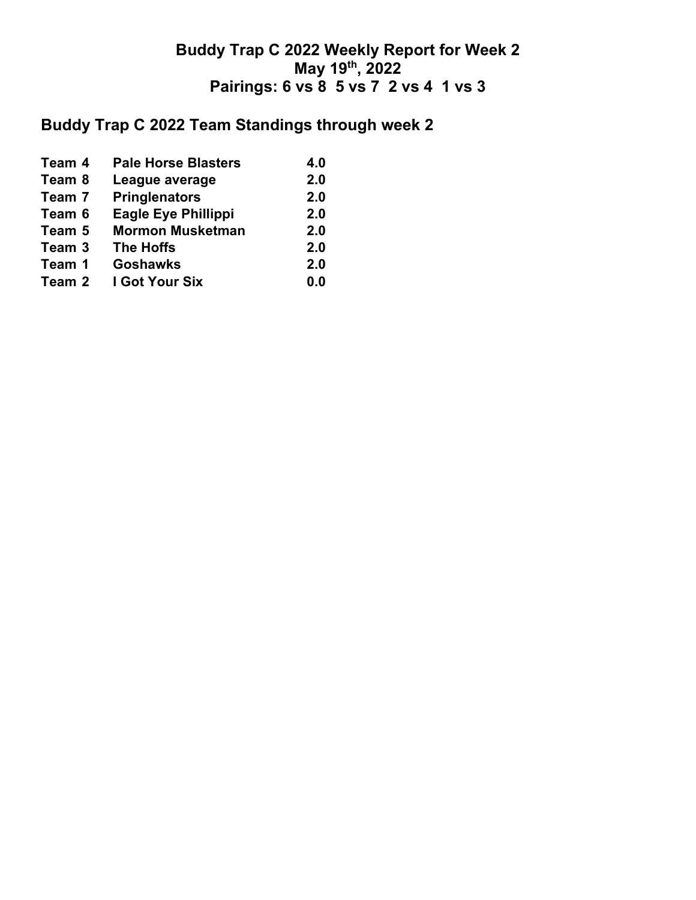## **Buddy Trap C 2022 Weekly Report for Week 2 May 19th, 2022 Pairings: 6 vs 8 5 vs 7 2 vs 4 1 vs 3**

# **Buddy Trap C 2022 Team Standings through week 2**

| Team 4 | <b>Pale Horse Blasters</b> | 4.0 |
|--------|----------------------------|-----|
| Team 8 | League average             | 2.0 |
| Team 7 | <b>Pringlenators</b>       | 2.0 |
| Team 6 | <b>Eagle Eye Phillippi</b> | 2.0 |
| Team 5 | <b>Mormon Musketman</b>    | 2.0 |
| Team 3 | <b>The Hoffs</b>           | 2.0 |
| Team 1 | <b>Goshawks</b>            | 2.0 |
| Team 2 | I Got Your Six             | 0.0 |